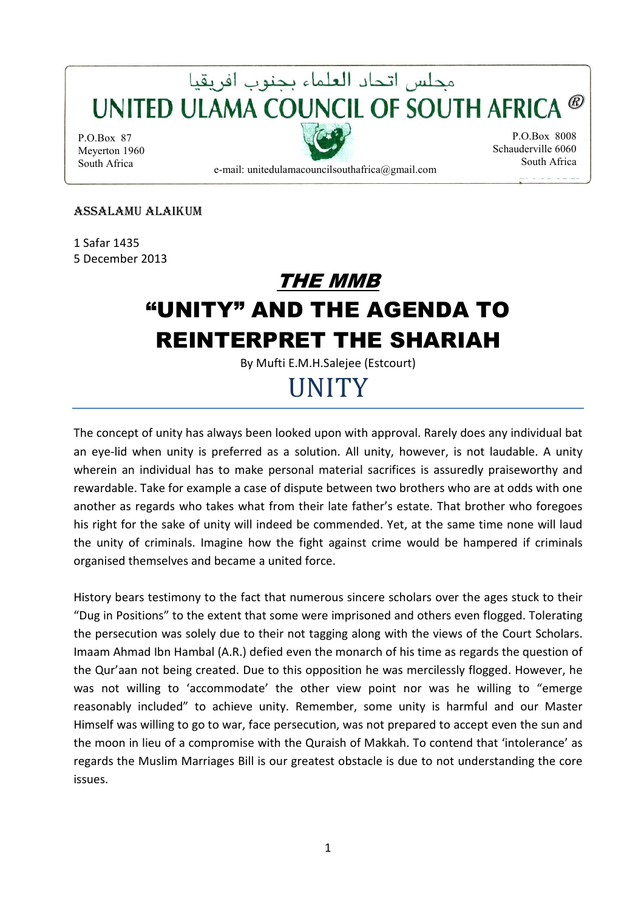## محلس اتحاد العلماء بجنوب افريقيا UNITED ULAMA COUNCIL OF SOUTH AFRICA ®

P.O.Box 87 Meyerton 1960 South Africa

e-mail: unitedulamacouncilsouthafrica@gmail.com

P.O.Box 8008 Schauderville 6060 South Africa

## ASSALAMU ALAIKUM

1 Safar 1435 5 December 2013

## THE MMB "UNITY" AND THE AGENDA TO REINTERPRET THE SHARIAH

By Mufti E.M.H.Salejee (Estcourt)

## UNITY

The concept of unity has always been looked upon with approval. Rarely does any individual bat an eye-lid when unity is preferred as a solution. All unity, however, is not laudable. A unity wherein an individual has to make personal material sacrifices is assuredly praiseworthy and rewardable. Take for example a case of dispute between two brothers who are at odds with one another as regards who takes what from their late father's estate. That brother who foregoes his right for the sake of unity will indeed be commended. Yet, at the same time none will laud the unity of criminals. Imagine how the fight against crime would be hampered if criminals organised themselves and became a united force.

History bears testimony to the fact that numerous sincere scholars over the ages stuck to their "Dug in Positions" to the extent that some were imprisoned and others even flogged. Tolerating the persecution was solely due to their not tagging along with the views of the Court Scholars. Imaam Ahmad Ibn Hambal (A.R.) defied even the monarch of his time as regards the question of the Qur'aan not being created. Due to this opposition he was mercilessly flogged. However, he was not willing to 'accommodate' the other view point nor was he willing to "emerge reasonably included" to achieve unity. Remember, some unity is harmful and our Master Himself was willing to go to war, face persecution, was not prepared to accept even the sun and the moon in lieu of a compromise with the Quraish of Makkah. To contend that 'intolerance' as regards the Muslim Marriages Bill is our greatest obstacle is due to not understanding the core issues.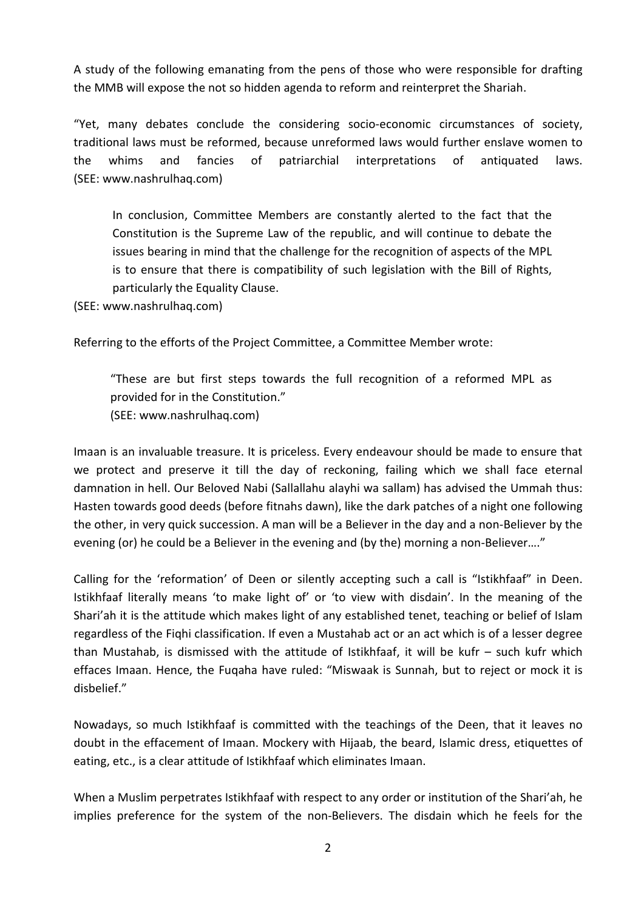A study of the following emanating from the pens of those who were responsible for drafting the MMB will expose the not so hidden agenda to reform and reinterpret the Shariah.

"Yet, many debates conclude the considering socio-economic circumstances of society, traditional laws must be reformed, because unreformed laws would further enslave women to the whims and fancies of patriarchial interpretations of antiquated laws. (SEE: www.nashrulhaq.com)

In conclusion, Committee Members are constantly alerted to the fact that the Constitution is the Supreme Law of the republic, and will continue to debate the issues bearing in mind that the challenge for the recognition of aspects of the MPL is to ensure that there is compatibility of such legislation with the Bill of Rights, particularly the Equality Clause.

(SEE: www.nashrulhaq.com)

Referring to the efforts of the Project Committee, a Committee Member wrote:

"These are but first steps towards the full recognition of a reformed MPL as provided for in the Constitution." (SEE: www.nashrulhaq.com)

Imaan is an invaluable treasure. It is priceless. Every endeavour should be made to ensure that we protect and preserve it till the day of reckoning, failing which we shall face eternal damnation in hell. Our Beloved Nabi (Sallallahu alayhi wa sallam) has advised the Ummah thus: Hasten towards good deeds (before fitnahs dawn), like the dark patches of a night one following the other, in very quick succession. A man will be a Believer in the day and a non-Believer by the evening (or) he could be a Believer in the evening and (by the) morning a non-Believer…."

Calling for the 'reformation' of Deen or silently accepting such a call is "Istikhfaaf" in Deen. Istikhfaaf literally means 'to make light of' or 'to view with disdain'. In the meaning of the Shari'ah it is the attitude which makes light of any established tenet, teaching or belief of Islam regardless of the Fiqhi classification. If even a Mustahab act or an act which is of a lesser degree than Mustahab, is dismissed with the attitude of Istikhfaaf, it will be kufr – such kufr which effaces Imaan. Hence, the Fuqaha have ruled: "Miswaak is Sunnah, but to reject or mock it is disbelief."

Nowadays, so much Istikhfaaf is committed with the teachings of the Deen, that it leaves no doubt in the effacement of Imaan. Mockery with Hijaab, the beard, Islamic dress, etiquettes of eating, etc., is a clear attitude of Istikhfaaf which eliminates Imaan.

When a Muslim perpetrates Istikhfaaf with respect to any order or institution of the Shari'ah, he implies preference for the system of the non-Believers. The disdain which he feels for the